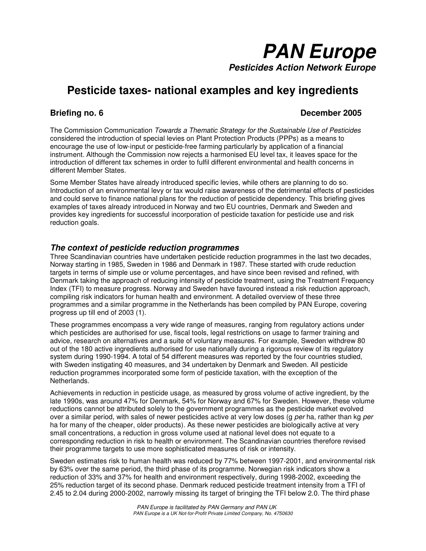

# **Pesticide taxes- national examples and key ingredients**

## **Briefing no. 6** December 2005

The Commission Communication Towards a Thematic Strategy for the Sustainable Use of Pesticides considered the introduction of special levies on Plant Protection Products (PPPs) as a means to encourage the use of low-input or pesticide-free farming particularly by application of a financial instrument. Although the Commission now rejects a harmonised EU level tax, it leaves space for the introduction of different tax schemes in order to fulfil different environmental and health concerns in different Member States.

Some Member States have already introduced specific levies, while others are planning to do so. Introduction of an environmental levy or tax would raise awareness of the detrimental effects of pesticides and could serve to finance national plans for the reduction of pesticide dependency. This briefing gives examples of taxes already introduced in Norway and two EU countries, Denmark and Sweden and provides key ingredients for successful incorporation of pesticide taxation for pesticide use and risk reduction goals.

#### **The context of pesticide reduction programmes**

Three Scandinavian countries have undertaken pesticide reduction programmes in the last two decades, Norway starting in 1985, Sweden in 1986 and Denmark in 1987. These started with crude reduction targets in terms of simple use or volume percentages, and have since been revised and refined, with Denmark taking the approach of reducing intensity of pesticide treatment, using the Treatment Frequency Index (TFI) to measure progress. Norway and Sweden have favoured instead a risk reduction approach, compiling risk indicators for human health and environment. A detailed overview of these three programmes and a similar programme in the Netherlands has been compiled by PAN Europe, covering progress up till end of 2003 (1).

These programmes encompass a very wide range of measures, ranging from regulatory actions under which pesticides are authorised for use, fiscal tools, legal restrictions on usage to farmer training and advice, research on alternatives and a suite of voluntary measures. For example, Sweden withdrew 80 out of the 180 active ingredients authorised for use nationally during a rigorous review of its regulatory system during 1990-1994. A total of 54 different measures was reported by the four countries studied, with Sweden instigating 40 measures, and 34 undertaken by Denmark and Sweden. All pesticide reduction programmes incorporated some form of pesticide taxation, with the exception of the **Netherlands** 

Achievements in reduction in pesticide usage, as measured by gross volume of active ingredient, by the late 1990s, was around 47% for Denmark, 54% for Norway and 67% for Sweden. However, these volume reductions cannot be attributed solely to the government programmes as the pesticide market evolved over a similar period, with sales of newer pesticides active at very low doses (g per ha, rather than kg per ha for many of the cheaper, older products). As these newer pesticides are biologically active at very small concentrations, a reduction in gross volume used at national level does not equate to a corresponding reduction in risk to health or environment. The Scandinavian countries therefore revised their programme targets to use more sophisticated measures of risk or intensity.

Sweden estimates risk to human health was reduced by 77% between 1997-2001, and environmental risk by 63% over the same period, the third phase of its programme. Norwegian risk indicators show a reduction of 33% and 37% for health and environment respectively, during 1998-2002, exceeding the 25% reduction target of its second phase. Denmark reduced pesticide treatment intensity from a TFI of 2.45 to 2.04 during 2000-2002, narrowly missing its target of bringing the TFI below 2.0. The third phase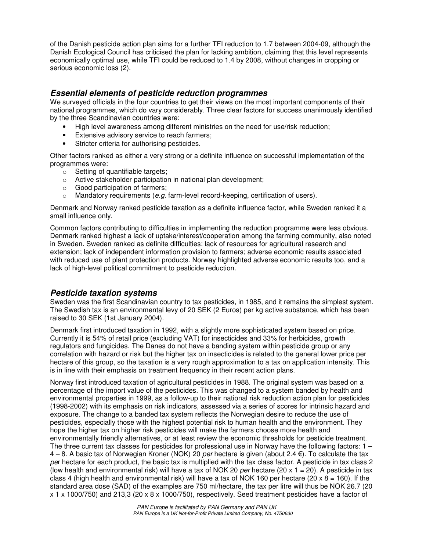of the Danish pesticide action plan aims for a further TFI reduction to 1.7 between 2004-09, although the Danish Ecological Council has criticised the plan for lacking ambition, claiming that this level represents economically optimal use, while TFI could be reduced to 1.4 by 2008, without changes in cropping or serious economic loss (2).

### **Essential elements of pesticide reduction programmes**

We surveyed officials in the four countries to get their views on the most important components of their national programmes, which do vary considerably. Three clear factors for success unanimously identified by the three Scandinavian countries were:

- High level awareness among different ministries on the need for use/risk reduction;
- Extensive advisory service to reach farmers;
- Stricter criteria for authorising pesticides.

Other factors ranked as either a very strong or a definite influence on successful implementation of the programmes were:

- o Setting of quantifiable targets;
- o Active stakeholder participation in national plan development;
- o Good participation of farmers;
- $\circ$  Mandatory requirements (e.g. farm-level record-keeping, certification of users).

Denmark and Norway ranked pesticide taxation as a definite influence factor, while Sweden ranked it a small influence only.

Common factors contributing to difficulties in implementing the reduction programme were less obvious. Denmark ranked highest a lack of uptake/interest/cooperation among the farming community, also noted in Sweden. Sweden ranked as definite difficulties: lack of resources for agricultural research and extension; lack of independent information provision to farmers; adverse economic results associated with reduced use of plant protection products. Norway highlighted adverse economic results too, and a lack of high-level political commitment to pesticide reduction.

#### **Pesticide taxation systems**

Sweden was the first Scandinavian country to tax pesticides, in 1985, and it remains the simplest system. The Swedish tax is an environmental levy of 20 SEK (2 Euros) per kg active substance, which has been raised to 30 SEK (1st January 2004).

Denmark first introduced taxation in 1992, with a slightly more sophisticated system based on price. Currently it is 54% of retail price (excluding VAT) for insecticides and 33% for herbicides, growth regulators and fungicides. The Danes do not have a banding system within pesticide group or any correlation with hazard or risk but the higher tax on insecticides is related to the general lower price per hectare of this group, so the taxation is a very rough approximation to a tax on application intensity. This is in line with their emphasis on treatment frequency in their recent action plans.

Norway first introduced taxation of agricultural pesticides in 1988. The original system was based on a percentage of the import value of the pesticides. This was changed to a system banded by health and environmental properties in 1999, as a follow-up to their national risk reduction action plan for pesticides (1998-2002) with its emphasis on risk indicators, assessed via a series of scores for intrinsic hazard and exposure. The change to a banded tax system reflects the Norwegian desire to reduce the use of pesticides, especially those with the highest potential risk to human health and the environment. They hope the higher tax on higher risk pesticides will make the farmers choose more health and environmentally friendly alternatives, or at least review the economic thresholds for pesticide treatment. The three current tax classes for pesticides for professional use in Norway have the following factors:  $1 4 - 8$ . A basic tax of Norwegian Kroner (NOK) 20 per hectare is given (about 2.4  $\epsilon$ ). To calculate the tax per hectare for each product, the basic tax is multiplied with the tax class factor. A pesticide in tax class 2 (low health and environmental risk) will have a tax of NOK 20 per hectare (20 x 1 = 20). A pesticide in tax class 4 (high health and environmental risk) will have a tax of NOK 160 per hectare (20 x 8 = 160). If the standard area dose (SAD) of the examples are 750 ml/hectare, the tax per litre will thus be NOK 26.7 (20 x 1 x 1000/750) and 213,3 (20 x 8 x 1000/750), respectively. Seed treatment pesticides have a factor of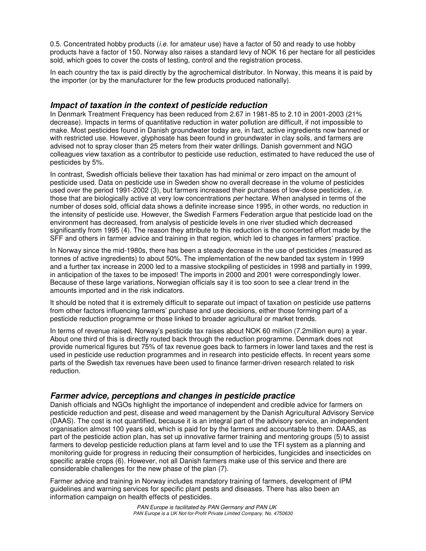0.5. Concentrated hobby products *(i.e.* for amateur use) have a factor of 50 and ready to use hobby products have a factor of 150. Norway also raises a standard levy of NOK 16 per hectare for all pesticides sold, which goes to cover the costs of testing, control and the registration process.

In each country the tax is paid directly by the agrochemical distributor. In Norway, this means it is paid by the importer (or by the manufacturer for the few products produced nationally).

#### **Impact of taxation in the context of pesticide reduction**

In Denmark Treatment Frequency has been reduced from 2.67 in 1981-85 to 2.10 in 2001-2003 (21% decrease). Impacts in terms of quantitative reduction in water pollution are difficult, if not impossible to make. Most pesticides found in Danish groundwater today are, in fact, active ingredients now banned or with restricted use. However, glyphosate has been found in groundwater in clay soils, and farmers are advised not to spray closer than 25 meters from their water drillings. Danish government and NGO colleagues view taxation as a contributor to pesticide use reduction, estimated to have reduced the use of pesticides by 5%.

In contrast, Swedish officials believe their taxation has had minimal or zero impact on the amount of pesticide used. Data on pesticide use in Sweden show no overall decrease in the volume of pesticides used over the period 1991-2002 (3), but farmers increased their purchases of low-dose pesticides, *i.e.* those that are biologically active at very low concentrations per hectare. When analysed in terms of the number of doses sold, official data shows a definite increase since 1995, in other words, no reduction in the intensity of pesticide use. However, the Swedish Farmers Federation argue that pesticide load on the environment has decreased, from analysis of pesticide levels in one river studied which decreased significantly from 1995 (4). The reason they attribute to this reduction is the concerted effort made by the SFF and others in farmer advice and training in that region, which led to changes in farmers' practice.

In Norway since the mid-1980s, there has been a steady decrease in the use of pesticides (measured as tonnes of active ingredients) to about 50%. The implementation of the new banded tax system in 1999 and a further tax increase in 2000 led to a massive stockpiling of pesticides in 1998 and partially in 1999, in anticipation of the taxes to be imposed! The imports in 2000 and 2001 were correspondingly lower. Because of these large variations, Norwegian officials say it is too soon to see a clear trend in the amounts imported and in the risk indicators.

It should be noted that it is extremely difficult to separate out impact of taxation on pesticide use patterns from other factors influencing farmers' purchase and use decisions, either those forming part of a pesticide reduction programme or those linked to broader agricultural or market trends.

In terms of revenue raised, Norway's pesticide tax raises about NOK 60 million (7.2million euro) a year. About one third of this is directly routed back through the reduction programme. Denmark does not provide numerical figures but 75% of tax revenue goes back to farmers in lower land taxes and the rest is used in pesticide use reduction programmes and in research into pesticide effects. In recent years some parts of the Swedish tax revenues have been used to finance farmer-driven research related to risk reduction.

#### **Farmer advice, perceptions and changes in pesticide practice**

Danish officials and NGOs highlight the importance of independent and credible advice for farmers on pesticide reduction and pest, disease and weed management by the Danish Agricultural Advisory Service (DAAS). The cost is not quantified, because it is an integral part of the advisory service, an independent organisation almost 100 years old, which is paid for by the farmers and accountable to them. DAAS, as part of the pesticide action plan, has set up innovative farmer training and mentoring groups (5) to assist farmers to develop pesticide reduction plans at farm level and to use the TFI system as a planning and monitoring guide for progress in reducing their consumption of herbicides, fungicides and insecticides on specific arable crops (6). However, not all Danish farmers make use of this service and there are considerable challenges for the new phase of the plan (7).

Farmer advice and training in Norway includes mandatory training of farmers, development of IPM guidelines and warning services for specific plant pests and diseases. There has also been an information campaign on health effects of pesticides.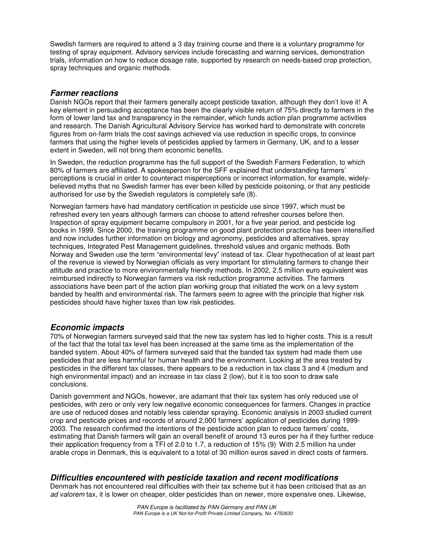Swedish farmers are required to attend a 3 day training course and there is a voluntary programme for testing of spray equipment. Advisory services include forecasting and warning services, demonstration trials, information on how to reduce dosage rate, supported by research on needs-based crop protection, spray techniques and organic methods.

### **Farmer reactions**

Danish NGOs report that their farmers generally accept pesticide taxation, although they don't love it! A key element in persuading acceptance has been the clearly visible return of 75% directly to farmers in the form of lower land tax and transparency in the remainder, which funds action plan programme activities and research. The Danish Agricultural Advisory Service has worked hard to demonstrate with concrete figures from on-farm trials the cost savings achieved via use reduction in specific crops, to convince farmers that using the higher levels of pesticides applied by farmers in Germany, UK, and to a lesser extent in Sweden, will not bring them economic benefits.

In Sweden, the reduction programme has the full support of the Swedish Farmers Federation, to which 80% of farmers are affiliated. A spokesperson for the SFF explained that understanding farmers' perceptions is crucial in order to counteract misperceptions or incorrect information, for example, widelybelieved myths that no Swedish farmer has ever been killed by pesticide poisoning, or that any pesticide authorised for use by the Swedish regulators is completely safe (8).

Norwegian farmers have had mandatory certification in pesticide use since 1997, which must be refreshed every ten years although farmers can choose to attend refresher courses before then. Inspection of spray equipment became compulsory in 2001, for a five year period, and pesticide log books in 1999. Since 2000, the training programme on good plant protection practice has been intensified and now includes further information on biology and agronomy, pesticides and alternatives, spray techniques, Integrated Pest Management guidelines, threshold values and organic methods. Both Norway and Sweden use the term "environmental levy" instead of tax. Clear hypothecation of at least part of the revenue is viewed by Norwegian officials as very important for stimulating farmers to change their attitude and practice to more environmentally friendly methods. In 2002, 2.5 million euro equivalent was reimbursed indirectly to Norwegian farmers via risk reduction programme activities. The farmers associations have been part of the action plan working group that initiated the work on a levy system banded by health and environmental risk. The farmers seem to agree with the principle that higher risk pesticides should have higher taxes than low risk pesticides.

# **Economic impacts**

70% of Norwegian farmers surveyed said that the new tax system has led to higher costs. This is a result of the fact that the total tax level has been increased at the same time as the implementation of the banded system. About 40% of farmers surveyed said that the banded tax system had made them use pesticides that are less harmful for human health and the environment. Looking at the area treated by pesticides in the different tax classes, there appears to be a reduction in tax class 3 and 4 (medium and high environmental impact) and an increase in tax class 2 (low), but it is too soon to draw safe conclusions.

Danish government and NGOs, however, are adamant that their tax system has only reduced use of pesticides, with zero or only very low negative economic consequences for farmers. Changes in practice are use of reduced doses and notably less calendar spraying. Economic analysis in 2003 studied current crop and pesticide prices and records of around 2,000 farmers' application of pesticides during 1999- 2003. The research confirmed the intentions of the pesticide action plan to reduce farmers' costs, estimating that Danish farmers will gain an overall benefit of around 13 euros per ha if they further reduce their application frequency from a TFI of 2.0 to 1.7, a reduction of 15% (9). With 2.5 million ha under arable crops in Denmark, this is equivalent to a total of 30 million euros saved in direct costs of farmers.

# **Difficulties encountered with pesticide taxation and recent modifications**

Denmark has not encountered real difficulties with their tax scheme but it has been criticised that as an ad valorem tax, it is lower on cheaper, older pesticides than on newer, more expensive ones. Likewise,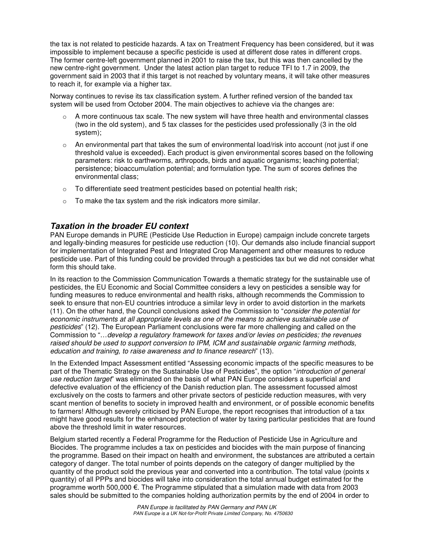the tax is not related to pesticide hazards. A tax on Treatment Frequency has been considered, but it was impossible to implement because a specific pesticide is used at different dose rates in different crops. The former centre-left government planned in 2001 to raise the tax, but this was then cancelled by the new centre-right government. Under the latest action plan target to reduce TFI to 1.7 in 2009, the government said in 2003 that if this target is not reached by voluntary means, it will take other measures to reach it, for example via a higher tax.

Norway continues to revise its tax classification system. A further refined version of the banded tax system will be used from October 2004. The main objectives to achieve via the changes are:

- $\circ$  A more continuous tax scale. The new system will have three health and environmental classes (two in the old system), and 5 tax classes for the pesticides used professionally (3 in the old system);
- $\circ$  An environmental part that takes the sum of environmental load/risk into account (not just if one threshold value is exceeded). Each product is given environmental scores based on the following parameters: risk to earthworms, arthropods, birds and aquatic organisms; leaching potential; persistence; bioaccumulation potential; and formulation type. The sum of scores defines the environmental class;
- $\circ$  To differentiate seed treatment pesticides based on potential health risk;
- o To make the tax system and the risk indicators more similar.

#### **Taxation in the broader EU context**

PAN Europe demands in PURE (Pesticide Use Reduction in Europe) campaign include concrete targets and legally-binding measures for pesticide use reduction (10). Our demands also include financial support for implementation of Integrated Pest and Integrated Crop Management and other measures to reduce pesticide use. Part of this funding could be provided through a pesticides tax but we did not consider what form this should take.

In its reaction to the Commission Communication Towards a thematic strategy for the sustainable use of pesticides, the EU Economic and Social Committee considers a levy on pesticides a sensible way for funding measures to reduce environmental and health risks, although recommends the Commission to seek to ensure that non-EU countries introduce a similar levy in order to avoid distortion in the markets (11). On the other hand, the Council conclusions asked the Commission to "consider the potential for economic instruments at all appropriate levels as one of the means to achieve sustainable use of pesticides" (12). The European Parliament conclusions were far more challenging and called on the Commission to "…develop a regulatory framework for taxes and/or levies on pesticides; the revenues raised should be used to support conversion to IPM, ICM and sustainable organic farming methods, education and training, to raise awareness and to finance research" (13).

In the Extended Impact Assessment entitled "Assessing economic impacts of the specific measures to be part of the Thematic Strategy on the Sustainable Use of Pesticides", the option "introduction of general use reduction target" was eliminated on the basis of what PAN Europe considers a superficial and defective evaluation of the efficiency of the Danish reduction plan. The assessment focussed almost exclusively on the costs to farmers and other private sectors of pesticide reduction measures, with very scant mention of benefits to society in improved health and environment, or of possible economic benefits to farmers! Although severely criticised by PAN Europe, the report recognises that introduction of a tax might have good results for the enhanced protection of water by taxing particular pesticides that are found above the threshold limit in water resources.

Belgium started recently a Federal Programme for the Reduction of Pesticide Use in Agriculture and Biocides. The programme includes a tax on pesticides and biocides with the main purpose of financing the programme. Based on their impact on health and environment, the substances are attributed a certain category of danger. The total number of points depends on the category of danger multiplied by the quantity of the product sold the previous year and converted into a contribution. The total value (points x quantity) of all PPPs and biocides will take into consideration the total annual budget estimated for the programme worth 500,000 €. The Programme stipulated that a simulation made with data from 2003 sales should be submitted to the companies holding authorization permits by the end of 2004 in order to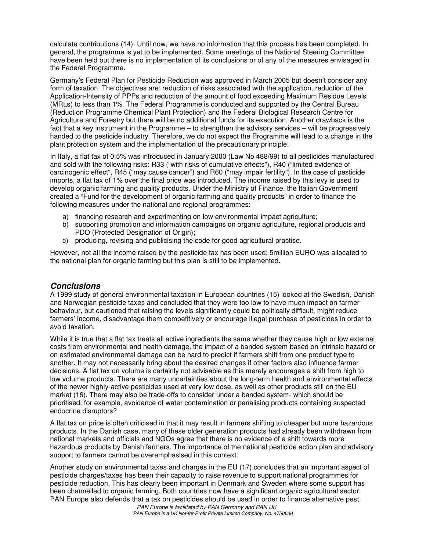calculate contributions (14). Until now, we have no information that this process has been completed. In general, the programme is yet to be implemented. Some meetings of the National Steering Committee have been held but there is no implementation of its conclusions or of any of the measures envisaged in the Federal Programme.

Germany's Federal Plan for Pesticide Reduction was approved in March 2005 but doesn't consider any form of taxation. The objectives are: reduction of risks associated with the application, reduction of the Application-Intensity of PPPs and reduction of the amount of food exceeding Maximum Residue Levels (MRLs) to less than 1%. The Federal Programme is conducted and supported by the Central Bureau (Reduction Programme Chemical Plant Protection) and the Federal Biological Research Centre for Agriculture and Forestry but there will be no additional funds for its execution. Another drawback is the fact that a key instrument in the Programme – to strengthen the advisory services – will be progressively handed to the pesticide industry. Therefore, we do not expect the Programme will lead to a change in the plant protection system and the implementation of the precautionary principle.

In Italy, a flat tax of 0,5% was introduced in January 2000 (Law No 488/99) to all pesticides manufactured and sold with the following risks: R33 ("with risks of cumulative effects"), R40 ("limited evidence of carcinogenic effect", R45 ("may cause cancer") and R60 ("may impair fertility"). In the case of pesticide imports, a flat tax of 1% over the final price was introduced. The income raised by this levy is used to develop organic farming and quality products. Under the Ministry of Finance, the Italian Government created a "Fund for the development of organic farming and quality products" in order to finance the following measures under the national and regional programmes:

- a) financing research and experimenting on low environmental impact agriculture;
- b) supporting promotion and information campaigns on organic agriculture, regional products and PDO (Protected Designation of Origin);
- c) producing, revising and publicising the code for good agricultural practise.

However, not all the income raised by the pesticide tax has been used; 5million EURO was allocated to the national plan for organic farming but this plan is still to be implemented.

#### **Conclusions**

A 1999 study of general environmental taxation in European countries (15) looked at the Swedish, Danish and Norwegian pesticide taxes and concluded that they were too low to have much impact on farmer behaviour, but cautioned that raising the levels significantly could be politically difficult, might reduce farmers' income, disadvantage them competitively or encourage illegal purchase of pesticides in order to avoid taxation.

While it is true that a flat tax treats all active ingredients the same whether they cause high or low external costs from environmental and health damage, the impact of a banded system based on intrinsic hazard or on estimated environmental damage can be hard to predict if farmers shift from one product type to another. It may not necessarily bring about the desired changes if other factors also influence farmer decisions. A flat tax on volume is certainly not advisable as this merely encourages a shift from high to low volume products. There are many uncertainties about the long-term health and environmental effects of the newer highly-active pesticides used at very low dose, as well as other products still on the EU market (16). There may also be trade-offs to consider under a banded system- which should be prioritised, for example, avoidance of water contamination or penalising products containing suspected endocrine disruptors?

A flat tax on price is often criticised in that it may result in farmers shifting to cheaper but more hazardous products. In the Danish case, many of these older generation products had already been withdrawn from national markets and officials and NGOs agree that there is no evidence of a shift towards more hazardous products by Danish farmers. The importance of the national pesticide action plan and advisory support to farmers cannot be overemphasised in this context.

Another study on environmental taxes and charges in the EU (17) concludes that an important aspect of pesticide charges/taxes has been their capacity to raise revenue to support national programmes for pesticide reduction. This has clearly been important in Denmark and Sweden where some support has been channelled to organic farming. Both countries now have a significant organic agricultural sector. PAN Europe also defends that a tax on pesticides should be used in order to finance alternative pest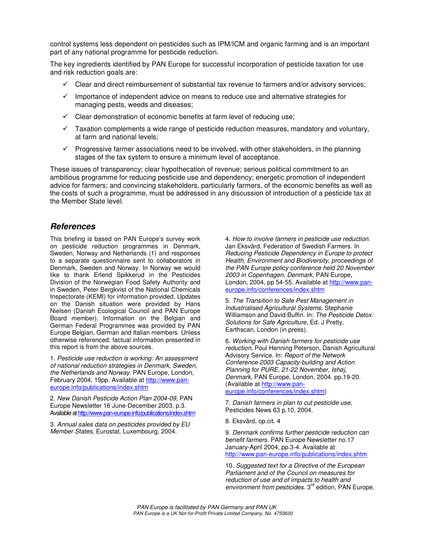control systems less dependent on pesticides such as IPM/ICM and organic farming and is an important part of any national programme for pesticide reduction.

The key ingredients identified by PAN Europe for successful incorporation of pesticide taxation for use and risk reduction goals are:

- $\checkmark$  Clear and direct reimbursement of substantial tax revenue to farmers and/or advisory services;
- $\checkmark$  Importance of independent advice on means to reduce use and alternative strategies for managing pests, weeds and diseases;
- $\checkmark$  Clear demonstration of economic benefits at farm level of reducing use;
- $\checkmark$  Taxation complements a wide range of pesticide reduction measures, mandatory and voluntary, at farm and national levels;
- $\checkmark$  Progressive farmer associations need to be involved, with other stakeholders, in the planning stages of the tax system to ensure a minimum level of acceptance.

These issues of transparency; clear hypothecation of revenue; serious political commitment to an ambitious programme for reducing pesticide use and dependency; energetic promotion of independent advice for farmers; and convincing stakeholders, particularly farmers, of the economic benefits as well as the costs of such a programme, must be addressed in any discussion of introduction of a pesticide tax at the Member State level.

#### **References**

This briefing is based on PAN Europe's survey work on pesticide reduction programmes in Denmark, Sweden, Norway and Netherlands (1) and responses to a separate questionnaire sent to collaborators in Denmark, Sweden and Norway. In Norway we would like to thank Erlend Spikkerud in the Pesticides Division of the Norwegian Food Safety Authority and in Sweden, Peter Bergkvist of the National Chemicals Inspectorate (KEMI) for information provided. Updates on the Danish situation were provided by Hans Nielsen (Danish Ecological Council and PAN Europe Board member). Information on the Belgian and German Federal Programmes was provided by PAN Europe Belgian, German and Italian members. Unless otherwise referenced, factual information presented in this report is from the above sources.

1. Pesticide use reduction is working: An assessment of national reduction strategies in Denmark, Sweden, the Netherlands and Norway. PAN Europe, London, February 2004, 19pp. Available at http://www.paneurope.info/publications/index.shtm

2. New Danish Pesticide Action Plan 2004-09, PAN Europe Newsletter 16 June-December 2003, p.3. Available at http://www.pan-europe.info/publications/index.shtm

3. Annual sales data on pesticides provided by EU Member States, Eurostat, Luxembourg, 2004.

4. How to involve farmers in pesticide use reduction. Jan Eksvärd, Federation of Swedish Farmers. In Reducing Pesticide Dependency in Europe to protect Health, Environment and Biodiversity, proceedings of the PAN Europe policy conference held 20 November 2003 in Copenhagen, Denmark, PAN Europe, London, 2004, pp 54-55. Available at http://www.paneurope.info/conferences/index.shtm

5. The Transition to Safe Pest Management in Industrialised Agricultural Systems. Stephanie Williamson and David Buffin. In: The Pesticide Detox: Solutions for Safe Agriculture, Ed. J Pretty, Earthscan, London (in press).

6. Working with Danish farmers for pesticide use reduction, Poul Henning Peterson, Danish Agricultural Advisory Service. In: Report of the Network Conference 2003 Capacity-building and Action Planning for PURE, 21-22 November, Ishøj, Denmark, PAN Europe, London, 2004. pp.19-20. (Available at http://www.paneurope.info/conferences/index.shtm)

7. Danish farmers in plan to cut pesticide use, Pesticides News 63 p.10, 2004.

8. Eksvärd, op.cit. 4

9. Denmark confirms further pesticide reduction can benefit farmers. PAN Europe Newsletter no.17 January-April 2004, pp.3-4. Available at http://www.pan-europe.info/publications/index.shtm

10. Suggested text for a Directive of the European Parliament and of the Council on measures for reduction of use and of impacts to health and environment from pesticides. 3<sup>rd</sup> edition, PAN Europe,